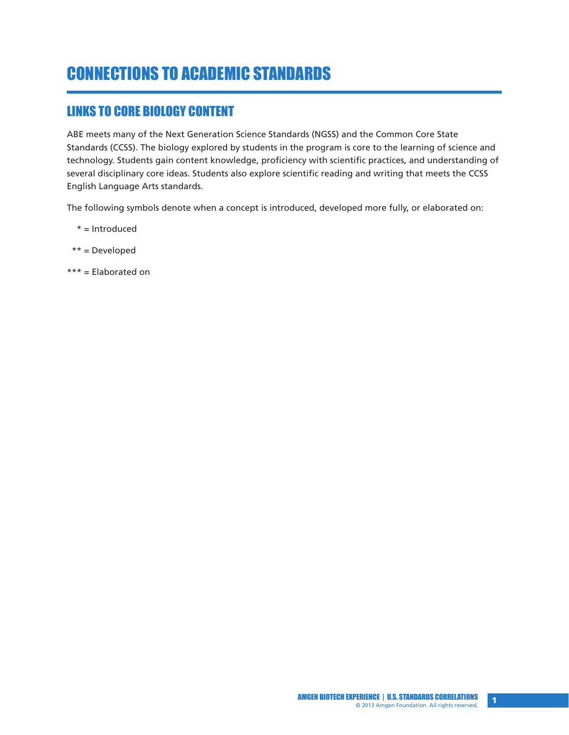# CONNECTIONS TO ACADEMIC STANDARDS

#### LINKS TO CORE BIOLOGY CONTENT

ABE meets many of the Next Generation Science Standards (NGSS) and the Common Core State Standards (CCSS). The biology explored by students in the program is core to the learning of science and technology. Students gain content knowledge, proficiency with scientific practices, and understanding of several disciplinary core ideas. Students also explore scientific reading and writing that meets the CCSS English Language Arts standards.

The following symbols denote when a concept is introduced, developed more fully, or elaborated on:

- \* = Introduced
- \*\* = Developed
- \*\*\* = Elaborated on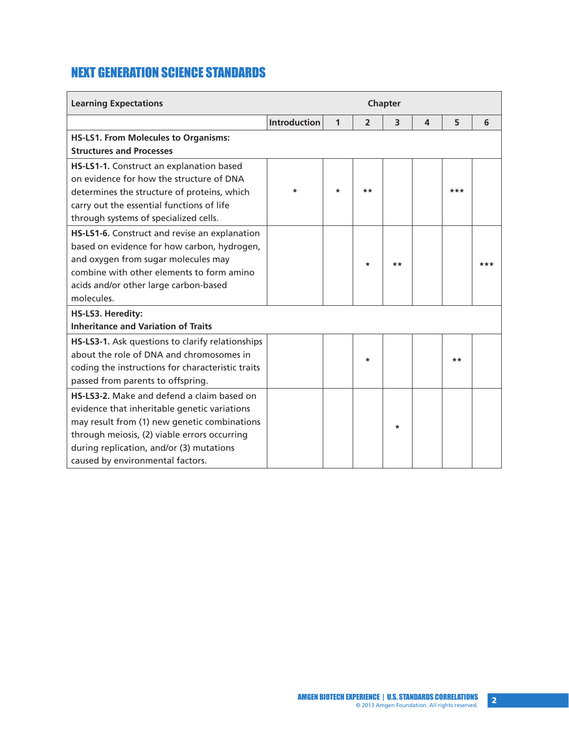## NEXT GENERATION SCIENCE STANDARDS

| <b>Learning Expectations</b>                      | Chapter             |              |                |                         |                         |     |     |  |
|---------------------------------------------------|---------------------|--------------|----------------|-------------------------|-------------------------|-----|-----|--|
|                                                   | <b>Introduction</b> | $\mathbf{1}$ | $\overline{2}$ | $\overline{\mathbf{3}}$ | $\overline{\mathbf{A}}$ | 5   | 6   |  |
| <b>HS-LS1. From Molecules to Organisms:</b>       |                     |              |                |                         |                         |     |     |  |
| <b>Structures and Processes</b>                   |                     |              |                |                         |                         |     |     |  |
| HS-LS1-1. Construct an explanation based          |                     |              |                |                         |                         |     |     |  |
| on evidence for how the structure of DNA          |                     |              |                |                         |                         |     |     |  |
| determines the structure of proteins, which       | $\ast$              | $\ast$       | **             |                         |                         | *** |     |  |
| carry out the essential functions of life         |                     |              |                |                         |                         |     |     |  |
| through systems of specialized cells.             |                     |              |                |                         |                         |     |     |  |
| HS-LS1-6. Construct and revise an explanation     |                     |              |                |                         |                         |     |     |  |
| based on evidence for how carbon, hydrogen,       |                     |              |                |                         |                         |     |     |  |
| and oxygen from sugar molecules may               |                     |              | $\ast$         | **                      |                         |     | *** |  |
| combine with other elements to form amino         |                     |              |                |                         |                         |     |     |  |
| acids and/or other large carbon-based             |                     |              |                |                         |                         |     |     |  |
| molecules.                                        |                     |              |                |                         |                         |     |     |  |
| HS-LS3. Heredity:                                 |                     |              |                |                         |                         |     |     |  |
| <b>Inheritance and Variation of Traits</b>        |                     |              |                |                         |                         |     |     |  |
| HS-LS3-1. Ask questions to clarify relationships  |                     |              |                |                         |                         |     |     |  |
| about the role of DNA and chromosomes in          |                     |              | $\ast$         |                         |                         | **  |     |  |
| coding the instructions for characteristic traits |                     |              |                |                         |                         |     |     |  |
| passed from parents to offspring.                 |                     |              |                |                         |                         |     |     |  |
| HS-LS3-2. Make and defend a claim based on        |                     |              |                |                         |                         |     |     |  |
| evidence that inheritable genetic variations      |                     |              |                |                         |                         |     |     |  |
| may result from (1) new genetic combinations      |                     |              |                | $\star$                 |                         |     |     |  |
| through meiosis, (2) viable errors occurring      |                     |              |                |                         |                         |     |     |  |
| during replication, and/or (3) mutations          |                     |              |                |                         |                         |     |     |  |
| caused by environmental factors.                  |                     |              |                |                         |                         |     |     |  |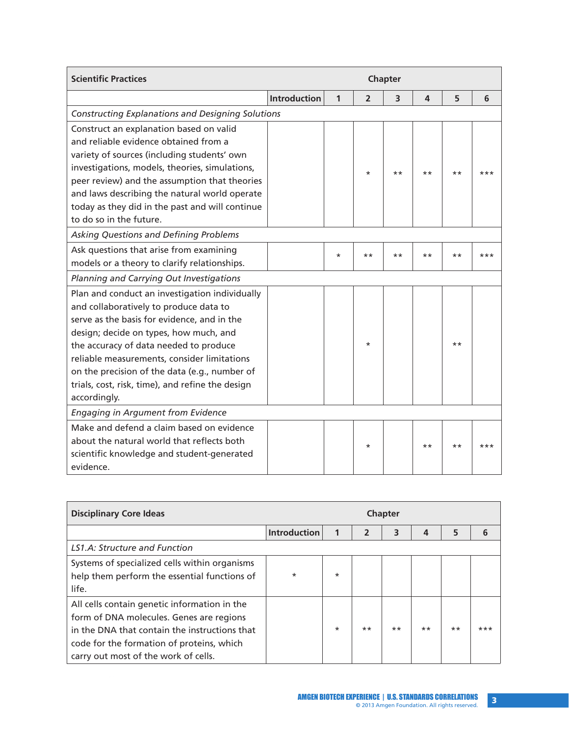| <b>Scientific Practices</b>                                                                                                                                                                                                                                                                                                                                                                     | Chapter             |              |                |                         |       |       |       |  |
|-------------------------------------------------------------------------------------------------------------------------------------------------------------------------------------------------------------------------------------------------------------------------------------------------------------------------------------------------------------------------------------------------|---------------------|--------------|----------------|-------------------------|-------|-------|-------|--|
|                                                                                                                                                                                                                                                                                                                                                                                                 | <b>Introduction</b> | $\mathbf{1}$ | $\overline{2}$ | $\overline{\mathbf{3}}$ | 4     | 5     | 6     |  |
| <b>Constructing Explanations and Designing Solutions</b>                                                                                                                                                                                                                                                                                                                                        |                     |              |                |                         |       |       |       |  |
| Construct an explanation based on valid<br>and reliable evidence obtained from a<br>variety of sources (including students' own<br>investigations, models, theories, simulations,<br>peer review) and the assumption that theories<br>and laws describing the natural world operate<br>today as they did in the past and will continue<br>to do so in the future.                               |                     |              | $\star$        | $***$                   | $***$ | $***$ | ***   |  |
| Asking Questions and Defining Problems                                                                                                                                                                                                                                                                                                                                                          |                     |              |                |                         |       |       |       |  |
| Ask questions that arise from examining<br>models or a theory to clarify relationships.                                                                                                                                                                                                                                                                                                         |                     | $\star$      | $***$          | $***$                   | $***$ | $***$ | $***$ |  |
| Planning and Carrying Out Investigations                                                                                                                                                                                                                                                                                                                                                        |                     |              |                |                         |       |       |       |  |
| Plan and conduct an investigation individually<br>and collaboratively to produce data to<br>serve as the basis for evidence, and in the<br>design; decide on types, how much, and<br>the accuracy of data needed to produce<br>reliable measurements, consider limitations<br>on the precision of the data (e.g., number of<br>trials, cost, risk, time), and refine the design<br>accordingly. |                     |              | $^\star$       |                         |       | $***$ |       |  |
| <b>Engaging in Argument from Evidence</b>                                                                                                                                                                                                                                                                                                                                                       |                     |              |                |                         |       |       |       |  |
| Make and defend a claim based on evidence<br>about the natural world that reflects both<br>scientific knowledge and student-generated<br>evidence.                                                                                                                                                                                                                                              |                     |              | $\star$        |                         | $***$ | $***$ | $***$ |  |

| <b>Disciplinary Core Ideas</b>                                                                                                                                                                                                 | <b>Chapter</b>      |         |                         |       |                |      |       |
|--------------------------------------------------------------------------------------------------------------------------------------------------------------------------------------------------------------------------------|---------------------|---------|-------------------------|-------|----------------|------|-------|
|                                                                                                                                                                                                                                | <b>Introduction</b> | 1       | $\overline{\mathbf{z}}$ | 3     | $\overline{4}$ | 5    |       |
| LS1.A: Structure and Function                                                                                                                                                                                                  |                     |         |                         |       |                |      |       |
| Systems of specialized cells within organisms<br>help them perform the essential functions of<br>life.                                                                                                                         | $\star$             | $\star$ |                         |       |                |      |       |
| All cells contain genetic information in the<br>form of DNA molecules. Genes are regions<br>in the DNA that contain the instructions that<br>code for the formation of proteins, which<br>carry out most of the work of cells. |                     | $\star$ | $***$                   | $***$ | $***$          | $**$ | $***$ |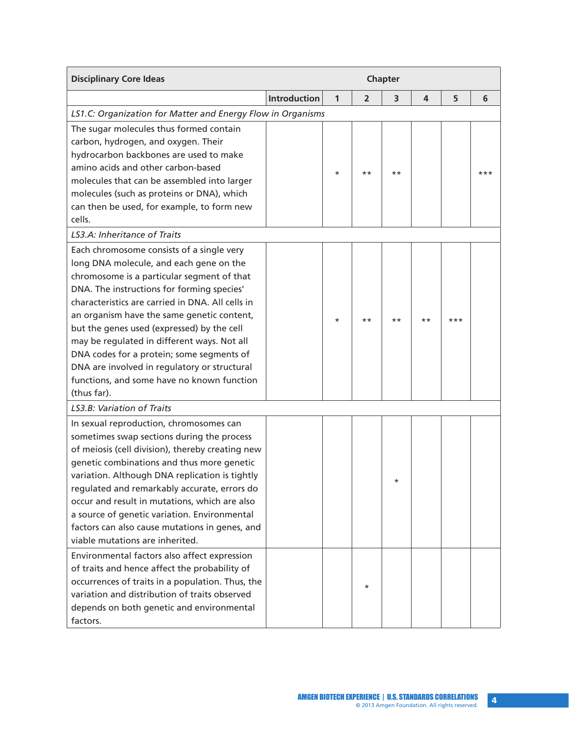| <b>Disciplinary Core Ideas</b>                                                                                                                                                                                                                                                                                                                                                                                                                                                                                                            | Chapter             |         |                |          |       |       |       |
|-------------------------------------------------------------------------------------------------------------------------------------------------------------------------------------------------------------------------------------------------------------------------------------------------------------------------------------------------------------------------------------------------------------------------------------------------------------------------------------------------------------------------------------------|---------------------|---------|----------------|----------|-------|-------|-------|
|                                                                                                                                                                                                                                                                                                                                                                                                                                                                                                                                           | <b>Introduction</b> | 1       | $\overline{2}$ | 3        | 4     | 5     | 6     |
| LS1.C: Organization for Matter and Energy Flow in Organisms                                                                                                                                                                                                                                                                                                                                                                                                                                                                               |                     |         |                |          |       |       |       |
| The sugar molecules thus formed contain<br>carbon, hydrogen, and oxygen. Their<br>hydrocarbon backbones are used to make<br>amino acids and other carbon-based<br>molecules that can be assembled into larger<br>molecules (such as proteins or DNA), which<br>can then be used, for example, to form new<br>cells.                                                                                                                                                                                                                       |                     | $\star$ | $***$          | $***$    |       |       | $***$ |
| LS3.A: Inheritance of Traits                                                                                                                                                                                                                                                                                                                                                                                                                                                                                                              |                     |         |                |          |       |       |       |
| Each chromosome consists of a single very<br>long DNA molecule, and each gene on the<br>chromosome is a particular segment of that<br>DNA. The instructions for forming species'<br>characteristics are carried in DNA. All cells in<br>an organism have the same genetic content,<br>but the genes used (expressed) by the cell<br>may be regulated in different ways. Not all<br>DNA codes for a protein; some segments of<br>DNA are involved in regulatory or structural<br>functions, and some have no known function<br>(thus far). |                     | $\star$ | $***$          | $***$    | $***$ | $***$ |       |
| LS3.B: Variation of Traits                                                                                                                                                                                                                                                                                                                                                                                                                                                                                                                |                     |         |                |          |       |       |       |
| In sexual reproduction, chromosomes can<br>sometimes swap sections during the process<br>of meiosis (cell division), thereby creating new<br>genetic combinations and thus more genetic<br>variation. Although DNA replication is tightly<br>regulated and remarkably accurate, errors do<br>occur and result in mutations, which are also<br>a source of genetic variation. Environmental<br>factors can also cause mutations in genes, and<br>viable mutations are inherited.                                                           |                     |         |                | $^\star$ |       |       |       |
| Environmental factors also affect expression<br>of traits and hence affect the probability of<br>occurrences of traits in a population. Thus, the<br>variation and distribution of traits observed<br>depends on both genetic and environmental<br>factors.                                                                                                                                                                                                                                                                               |                     |         | $\star$        |          |       |       |       |